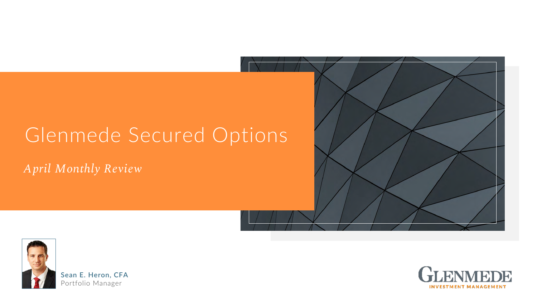*April Monthly Review*



# Glenmede Secured Options

**Sean E. Heron, CFA** Portfolio Manager



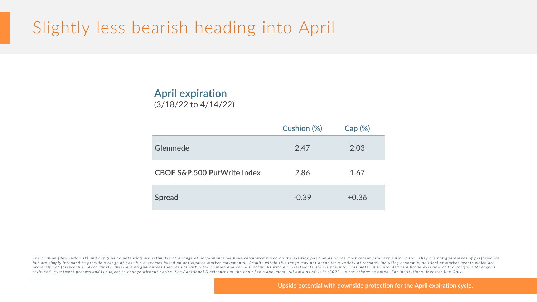# Slightly less bearish heading into April

### **April expiration**  (3/18/22 to 4/14/22)



|                                        | <b>Cushion (%)</b> | Cap (%  |
|----------------------------------------|--------------------|---------|
| <b>Glenmede</b>                        | 2.47               | 2.03    |
| <b>CBOE S&amp;P 500 PutWrite Index</b> | 2.86               | 1.67    |
| Spread                                 | $-0.39$            | $+0.36$ |

The cushion (downside risk) and cap (upside potential) are estimates of a range of performance we have calculated based on the existing position as of the most recent prior expiration date. They are not guarantees of perfo but are simply intended to provide a range of possible outcomes based on anticipated market movements. Results within this range may not occur for a variety of reasons, including economic, political or market events which presently not foreseeable. Accordingly, there are no guarantees that results within the cushion and cap will occur. As with all investments, loss is possible. This material is intended as a broad overview of the Portfolio style and investment process and is subject to change without notice. See Additional Disclosures at the end of this document. All data as of 4/14/2022, unless otherwise noted. For Institutional Investor Use Only.

**Upside potential with downside protection for the April expiration cycle.**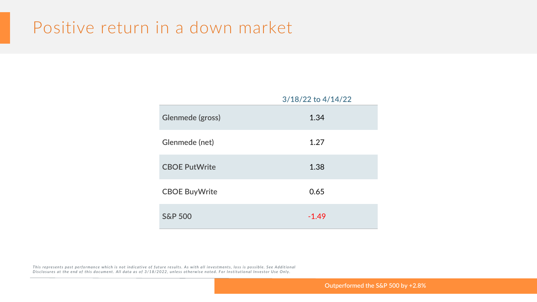## Positive return in a down market

*This represents past performance which is not indicative of future results. As with all investments, loss is possible. See Additional Disclosures at the end of this document. All data as of 3/18/2022, unless otherwise noted. For Institutional Investor Use Onl y .*



**Outperformed the S&P 500 by +2.8%** 

### **3/18/22 to 4/14/22**

| Glenmede (gross)      | 1.34    |
|-----------------------|---------|
| <b>Glenmede (net)</b> | 1.27    |
| <b>CBOE PutWrite</b>  | 1.38    |
| <b>CBOE BuyWrite</b>  | 0.65    |
| <b>S&amp;P 500</b>    | $-1.49$ |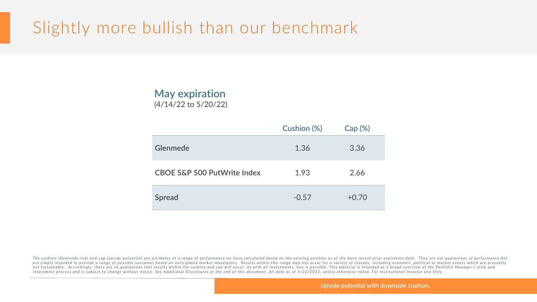# Slightly more bullish than our benchmark

The cushion (downside risk) and cap (upside potential) are estimates of a range of performance we have calculated based on the existing position as of the most recent prior expiration date. They are not guarantees of perfo are simply intended to provide a range of possible outcomes based on anticipated market movements. Results within this range may not occur for a variety of reasons, including economic, political or market events which are not foreseeable. Accordingly, there are no guarantees that results within the cushion and cap will occur. As with all investments, loss is possible. This material is intended as a broad overview of the Portfolio Manager's *investment process and is subject to change without notice. See Additional Disclosures at the end of this document. All data as of 4/22/2022, unless otherwise noted. For Institutional Investor Use Only.*

### **Upside potential with downside cushion.**

### **May expiration**  (4/14/22 to 5/20/22)



|                                        | <b>Cushion (%)</b> | Cap (%  |
|----------------------------------------|--------------------|---------|
| <b>Glenmede</b>                        | 1.36               | 3.36    |
| <b>CBOE S&amp;P 500 PutWrite Index</b> | 1.93               | 2.66    |
| Spread                                 | $-0.57$            | $+0.70$ |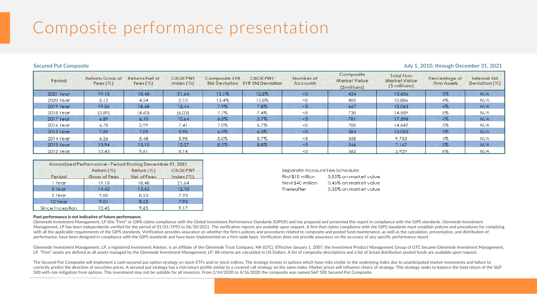# Composite performance presentation

| Period    | <b>Returns Gross of</b><br>Fees $(\%)$ | <b>Returns Net of</b><br>Fees $(\%)$ | <b>CBOEPWT</b><br>$Index (\%)$ | Composite 3YR | <b>CBOEPWT</b><br>Std Deviation 3YR Std Deviation | Number of<br>Accounts | Composite<br>Market Value<br>(Smillions) | <b>Total Firm</b><br><b>Market Value</b><br>(\$ millions) | Percentage of<br><b>Firm Assets</b> | <b>Internal Std</b><br>Deviation $(%)$ |
|-----------|----------------------------------------|--------------------------------------|--------------------------------|---------------|---------------------------------------------------|-----------------------|------------------------------------------|-----------------------------------------------------------|-------------------------------------|----------------------------------------|
| 2021 Year | 19.18                                  | 18.48                                | 21.64                          | 12.1%         | 12.8%                                             | < 5                   | 424                                      | 13,636                                                    | $3\%$                               | N/A                                    |
| 2020 Year | 5.12                                   | 4.34                                 | 2.10                           | 13.4%         | 13.8%                                             | $<$ 5                 | 405                                      | 10,886                                                    | 4%                                  | N/A                                    |
| 2019 Year | 19.56                                  | 18.68                                | 13.44                          | 7.9%          | 7.8%                                              | $\leq 5$              | 667                                      | 15,063                                                    | 4%                                  | N/A                                    |
| 2018 Year | (3.89)                                 | (4.60)                               | (6.03)                         | 7.7%          | 7.4%                                              | $<$ 5                 | 738                                      | 14,589                                                    | 5%                                  | N/A                                    |
| 2017 Year | 6.89                                   | 6.10                                 | 10.64                          | 6.5%          | 5.7%                                              | < 5                   | 781                                      | 17,598                                                    | $4\%$                               | N/A                                    |
| 2016 Year | 6.78                                   | 5.99                                 | 7.41                           | 7.0%          | 6.7%                                              | $<$ 5                 | 708                                      | 14,642                                                    | 5%                                  | N/A                                    |
| 2015 Year | 7.89                                   | 7.09                                 | 5.98                           | 6.0%          | 6.3%                                              | $\leq 5$              | 384                                      | 13,053                                                    | $3\%$                               | N/A                                    |
| 2014 Year | 6.26                                   | 5.48                                 | 5.98                           | 5.0%          | 5.7%                                              | $<$ 5                 | 358                                      | 9,753                                                     | 4%                                  | N/A                                    |
| 2013 Year | 13.94                                  | 13.10                                | 12.27                          | 8.5%          | 8.8%                                              | ≺5                    | 346                                      | 7,147                                                     | 5%                                  | N/A                                    |
| 2012 Year | 10.43                                  | 9.61                                 | 8.14                           |               |                                                   |                       | 362                                      | 5,929                                                     | 6%                                  | N/A                                    |

| Annualized Performance - Period Ending December 31, 2021 |                             |                            |                             |  |
|----------------------------------------------------------|-----------------------------|----------------------------|-----------------------------|--|
| Period                                                   | Return (%)<br>Gross of Fees | Return (%)<br>Net of Fees. | <b>CBOE PWT</b><br>Index(%) |  |
| 1 Year                                                   | 19.18                       | 18.48                      | 21.64                       |  |
| 3 Year                                                   | 14.42                       | 13.63                      | 12.10                       |  |
| 5 Year                                                   | 9.00                        | 8.23                       | 7.93                        |  |
| 10 Year                                                  | 9.01                        | 8.22                       | 7.93                        |  |
| Since Incention                                          | 10.45                       | 9 K.R                      | 9 1 7                       |  |

| Separate Account Fee Scl |          |
|--------------------------|----------|
| First \$10 million       | $0.55\%$ |
| Next \$40 million        | $0.45\%$ |
| Thereafter               | $0.35\%$ |

### **Secured Put Composite July 1, 2010, through December 31, 2021**

hedule: on market value on market value on market value

### Past performance is not indicative of future performance.

Glenmede Investment Management, LP (the "Firm" or GIM) claims compliance with the Global Investment Performance Standards (GIPS®) and has prepared and presented this report in compliance with the GIPS standards. Glenmede I Management, LP has been independently verified for the period of 01/01/1993 to 06/30/2021. The verification reports are available upon request. A firm that claims compliance with the GIPS standards must establish policies with all the applicable requirements of the GIPS standards. Verification provides assurance on whether the firm's policies and procedures related to composite and pooled fund maintenance, as well as the calculation, presen performance, have been designed in compliance with the GIPS standards and have been implemented on a firm-wide basis. Verification does not provide assurance on the accuracy of any specific performance report.

Glenmede Investment Management, LP, a registered Investment Advisor, is an affiliate of the Glenmede Trust Company, NA (GTC). Effective January 1, 2007, the Investment Product Management Group of GTC became Glenmede Invest LP. "Firm" assets are defined as all assets managed by the Glenmede Investment Management, LP. All returns are calculated in US Dollars. A list of composite descriptions and a list of broad distribution pooled funds are av

The Secured Put Composite will implement a cash-secured put option strategy on stock ETFs and/or stock indices. The strategy invests in options which have risks similar to the underlying index due to unanticipated market m correctly predict the direction of securities prices. A secured put strategy has a risk/return profile similar to a covered call strategy on the same index. Market prices will influence choice of strategy. This strategy se 500 with risk mitigation from options. This investment may not be suitable for all investors. From 2/14/2020 to 4/16/2020 the composite was named S&P 500 Secured Put Composite.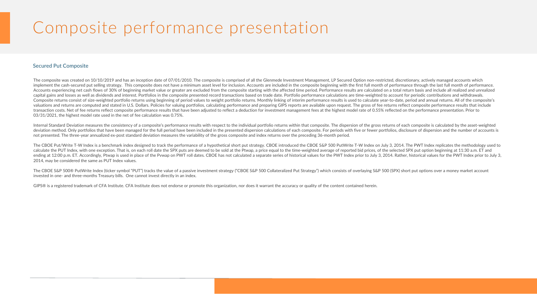# Composite performance presentation

### **Secured Put Composite**

The composite was created on 10/10/2019 and has an inception date of 07/01/2010. The composite is comprised of all the Glenmede Investment Management, LP Secured Option non-restricted, discretionary, actively managed accou implement the cash-secured put selling strategy. This composite does not have a minimum asset level for inclusion. Accounts are included in the composite beginning with the first full month of performance through the last Accounts experiencing net cash flows of 30% of beginning market value or greater are excluded from the composite starting with the affected time period. Performance results are calculated on a total return basis and includ capital gains and losses as well as dividends and interest. Portfolios in the composite presented record transactions based on trade date. Portfolio performance calculations are time-weighted to account for periodic contri Composite returns consist of size-weighted portfolio returns using beginning of period values to weight portfolio returns. Monthly linking of interim performance results is used to calculate year-to-date, period and annual valuations and returns are computed and stated in U.S. Dollars. Policies for valuing portfolios, calculating performance and preparing GIPS reports are available upon request. The gross of fee returns reflect composite per transaction costs. Net of fee returns reflect composite performance results that have been adjusted to reflect a deduction for investment management fees at the highest model rate of 0.55% reflected on the performance pres 03/31/2021, the highest model rate used in the net of fee calculation was 0.75%.

Internal Standard Deviation measures the consistency of a composite's performance results with respect to the individual portfolio returns within that composite. The dispersion of the gross returns of each composite is cal deviation method. Only portfolios that have been managed for the full period have been included in the presented dispersion calculations of each composite. For periods with five or fewer portfolios, disclosure of dispersio not presented. The three-year annualized ex-post standard deviation measures the variability of the gross composite and index returns over the preceding 36-month period.

The CBOE Put/Write T-W Index is a benchmark index designed to track the performance of a hypothetical short put strategy. CBOE introduced the CBOE S&P 500 PutWrite T-W Index on July 3, 2014. The PWT Index replicates the me calculate the PUT Index, with one exception. That is, on each roll date the SPX puts are deemed to be sold at the Ptwap, a price equal to the time-weighted average of reported bid prices, of the selected SPX put option beg ending at 12:00 p.m. ET. Accordingly, Ptwap is used in place of the Pywap on PWT roll dates. CBOE has not calculated a separate series of historical values for the PWT Index prior to July 3, 2014. Rather, historical values 2014, may be considered the same as PUT Index values.

The CBOE S&P 500® PutWrite Index (ticker symbol "PUT") tracks the value of a passive investment strategy ("CBOE S&P 500 Collateralized Put Strategy") which consists of overlaying S&P 500 (SPX) short put options over a mone invested in one- and three-months Treasury bills. One cannot invest directly in an index.

GIPS® is a registered trademark of CFA Institute. CFA Institute does not endorse or promote this organization, nor does it warrant the accuracy or quality of the content contained herein.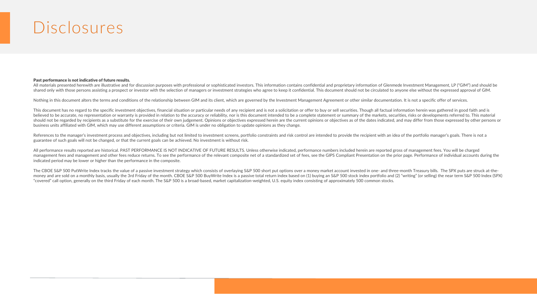## Disclosures

### Past performance is not indicative of future results.

All materials presented herewith are illustrative and for discussion purposes with professional or sophisticated investors. This information contains confidential and proprietary information of Glenmede Investment Manageme shared only with those persons assisting a prospect or investor with the selection of managers or investment strategies who agree to keep it confidential. This document should not be circulated to anyone else without the e

Nothing in this document alters the terms and conditions of the relationship between GIM and its client, which are governed by the Investment Management Agreement or other similar documentation. It is not a specific offer

This document has no regard to the specific investment objectives, financial situation or particular needs of any recipient and is not a solicitation or offer to buy or sell securities. Though all factual information herei believed to be accurate, no representation or warranty is provided in relation to the accuracy or reliability, nor is this document intended to be a complete statement or summary of the markets, securities, risks or develo should not be regarded by recipients as a substitute for the exercise of their own judgement. Opinions or objectives expressed herein are the current opinions or objectives as of the dates indicated, and may differ from th business units affiliated with GIM, which may use different assumptions or criteria. GIM is under no obligation to update opinions as they change.

References to the manager's investment process and objectives, including but not limited to investment screens, portfolio constraints and risk control are intended to provide the recipient with an idea of the portfolio man guarantee of such goals will not be changed, or that the current goals can be achieved. No investment is without risk.

All performance results reported are historical. PAST PERFORMANCE IS NOT INDICATIVE OF FUTURE RESULTS. Unless otherwise indicated, performance numbers included herein are reported gross of management fees. You will be char management fees and management and other fees reduce returns. To see the performance of the relevant composite net of a standardized set of fees, see the GIPS Compliant Presentation on the prior page. Performance of indivi indicated period may be lower or higher than the performance in the composite.

The CBOE S&P 500 PutWrite Index tracks the value of a passive investment strategy which consists of overlaying S&P 500 short put options over a money market account invested in one- and three-month Treasury bills. The SPX money and are sold on a monthly basis, usually the 3rd Friday of the month. CBOE S&P 500 BuyWrite Index is a passive total return index based on (1) buying an S&P 500 stock index portfolio and (2) "writing" (or selling) th "covered" call option, generally on the third Friday of each month. The S&P 500 is a broad-based, market capitalization-weighted, U.S. equity index consisting of approximately 500 common stocks.